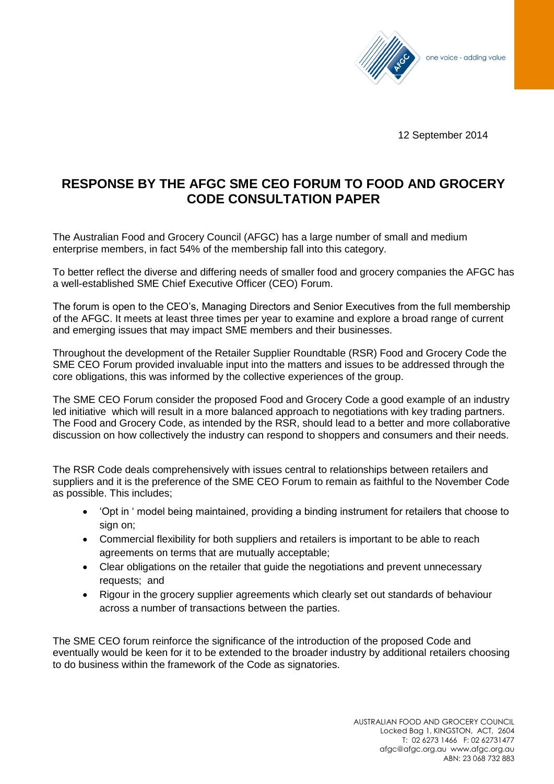

12 September 2014

## **RESPONSE BY THE AFGC SME CEO FORUM TO FOOD AND GROCERY CODE CONSULTATION PAPER**

The Australian Food and Grocery Council (AFGC) has a large number of small and medium enterprise members, in fact 54% of the membership fall into this category.

To better reflect the diverse and differing needs of smaller food and grocery companies the AFGC has a well-established SME Chief Executive Officer (CEO) Forum.

The forum is open to the CEO's, Managing Directors and Senior Executives from the full membership of the AFGC. It meets at least three times per year to examine and explore a broad range of current and emerging issues that may impact SME members and their businesses.

Throughout the development of the Retailer Supplier Roundtable (RSR) Food and Grocery Code the SME CEO Forum provided invaluable input into the matters and issues to be addressed through the core obligations, this was informed by the collective experiences of the group.

The SME CEO Forum consider the proposed Food and Grocery Code a good example of an industry led initiative which will result in a more balanced approach to negotiations with key trading partners. The Food and Grocery Code, as intended by the RSR, should lead to a better and more collaborative discussion on how collectively the industry can respond to shoppers and consumers and their needs.

The RSR Code deals comprehensively with issues central to relationships between retailers and suppliers and it is the preference of the SME CEO Forum to remain as faithful to the November Code as possible. This includes;

- 'Opt in ' model being maintained, providing a binding instrument for retailers that choose to sign on;
- Commercial flexibility for both suppliers and retailers is important to be able to reach agreements on terms that are mutually acceptable;
- Clear obligations on the retailer that guide the negotiations and prevent unnecessary requests; and
- Rigour in the grocery supplier agreements which clearly set out standards of behaviour across a number of transactions between the parties.

The SME CEO forum reinforce the significance of the introduction of the proposed Code and eventually would be keen for it to be extended to the broader industry by additional retailers choosing to do business within the framework of the Code as signatories.